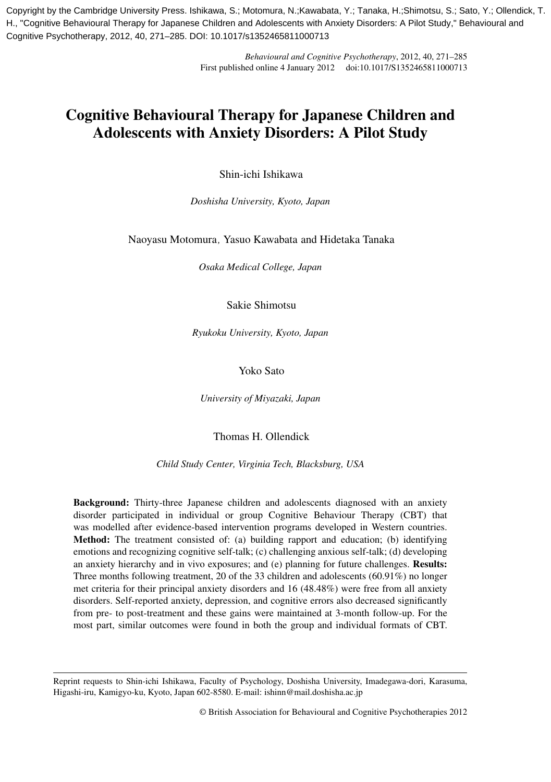Copyright by the Cambridge University Press. Ishikawa, S.; Motomura, N.;Kawabata, Y.; Tanaka, H.;Shimotsu, S.; Sato, Y.; Ollendick, T. H., "Cognitive Behavioural Therapy for Japanese Children and Adolescents with Anxiety Disorders: A Pilot Study," Behavioural and Cognitive Psychotherapy, 2012, 40, 271–285. DOI: 10.1017/s1352465811000713

> *Behavioural and Cognitive Psychotherapy*, 2012, 40, 271–285 First published online 4 January 2012 doi:10.1017/S1352465811000713

# **Cognitive Behavioural Therapy for Japanese Children and Adolescents with Anxiety Disorders: A Pilot Study**

Shin-ichi Ishikawa

*Doshisha University, Kyoto, Japan*

Naoyasu Motomura*,* Yasuo Kawabata and Hidetaka Tanaka

*Osaka Medical College, Japan*

Sakie Shimotsu

*Ryukoku University, Kyoto, Japan*

Yoko Sato

*University of Miyazaki, Japan*

Thomas H. Ollendick

*Child Study Center, Virginia Tech, Blacksburg, USA*

**Background:** Thirty-three Japanese children and adolescents diagnosed with an anxiety disorder participated in individual or group Cognitive Behaviour Therapy (CBT) that was modelled after evidence-based intervention programs developed in Western countries. **Method:** The treatment consisted of: (a) building rapport and education; (b) identifying emotions and recognizing cognitive self-talk; (c) challenging anxious self-talk; (d) developing an anxiety hierarchy and in vivo exposures; and (e) planning for future challenges. **Results:** Three months following treatment, 20 of the 33 children and adolescents (60.91%) no longer met criteria for their principal anxiety disorders and 16 (48.48%) were free from all anxiety disorders. Self-reported anxiety, depression, and cognitive errors also decreased significantly from pre- to post-treatment and these gains were maintained at 3-month follow-up. For the most part, similar outcomes were found in both the group and individual formats of CBT.

Reprint requests to Shin-ichi Ishikawa, Faculty of Psychology, Doshisha University, Imadegawa-dori, Karasuma, Higashi-iru, Kamigyo-ku, Kyoto, Japan 602-8580. E-mail: ishinn@mail.doshisha.ac.jp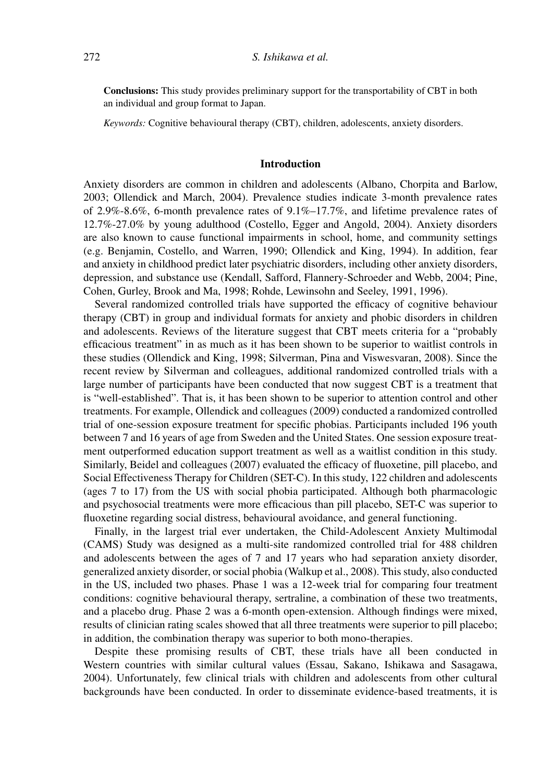**Conclusions:** This study provides preliminary support for the transportability of CBT in both an individual and group format to Japan.

*Keywords:* Cognitive behavioural therapy (CBT), children, adolescents, anxiety disorders.

## **Introduction**

Anxiety disorders are common in children and adolescents (Albano, Chorpita and Barlow, 2003; Ollendick and March, 2004). Prevalence studies indicate 3-month prevalence rates of 2.9%-8.6%, 6-month prevalence rates of 9.1%–17.7%, and lifetime prevalence rates of 12.7%-27.0% by young adulthood (Costello, Egger and Angold, 2004). Anxiety disorders are also known to cause functional impairments in school, home, and community settings (e.g. Benjamin, Costello, and Warren, 1990; Ollendick and King, 1994). In addition, fear and anxiety in childhood predict later psychiatric disorders, including other anxiety disorders, depression, and substance use (Kendall, Safford, Flannery-Schroeder and Webb, 2004; Pine, Cohen, Gurley, Brook and Ma, 1998; Rohde, Lewinsohn and Seeley, 1991, 1996).

Several randomized controlled trials have supported the efficacy of cognitive behaviour therapy (CBT) in group and individual formats for anxiety and phobic disorders in children and adolescents. Reviews of the literature suggest that CBT meets criteria for a "probably efficacious treatment" in as much as it has been shown to be superior to waitlist controls in these studies (Ollendick and King, 1998; Silverman, Pina and Viswesvaran, 2008). Since the recent review by Silverman and colleagues, additional randomized controlled trials with a large number of participants have been conducted that now suggest CBT is a treatment that is "well-established". That is, it has been shown to be superior to attention control and other treatments. For example, Ollendick and colleagues (2009) conducted a randomized controlled trial of one-session exposure treatment for specific phobias. Participants included 196 youth between 7 and 16 years of age from Sweden and the United States. One session exposure treatment outperformed education support treatment as well as a waitlist condition in this study. Similarly, Beidel and colleagues (2007) evaluated the efficacy of fluoxetine, pill placebo, and Social Effectiveness Therapy for Children (SET-C). In this study, 122 children and adolescents (ages 7 to 17) from the US with social phobia participated. Although both pharmacologic and psychosocial treatments were more efficacious than pill placebo, SET-C was superior to fluoxetine regarding social distress, behavioural avoidance, and general functioning.

Finally, in the largest trial ever undertaken, the Child-Adolescent Anxiety Multimodal (CAMS) Study was designed as a multi-site randomized controlled trial for 488 children and adolescents between the ages of 7 and 17 years who had separation anxiety disorder, generalized anxiety disorder, or social phobia (Walkup et al., 2008). This study, also conducted in the US, included two phases. Phase 1 was a 12-week trial for comparing four treatment conditions: cognitive behavioural therapy, sertraline, a combination of these two treatments, and a placebo drug. Phase 2 was a 6-month open-extension. Although findings were mixed, results of clinician rating scales showed that all three treatments were superior to pill placebo; in addition, the combination therapy was superior to both mono-therapies.

Despite these promising results of CBT, these trials have all been conducted in Western countries with similar cultural values (Essau, Sakano, Ishikawa and Sasagawa, 2004). Unfortunately, few clinical trials with children and adolescents from other cultural backgrounds have been conducted. In order to disseminate evidence-based treatments, it is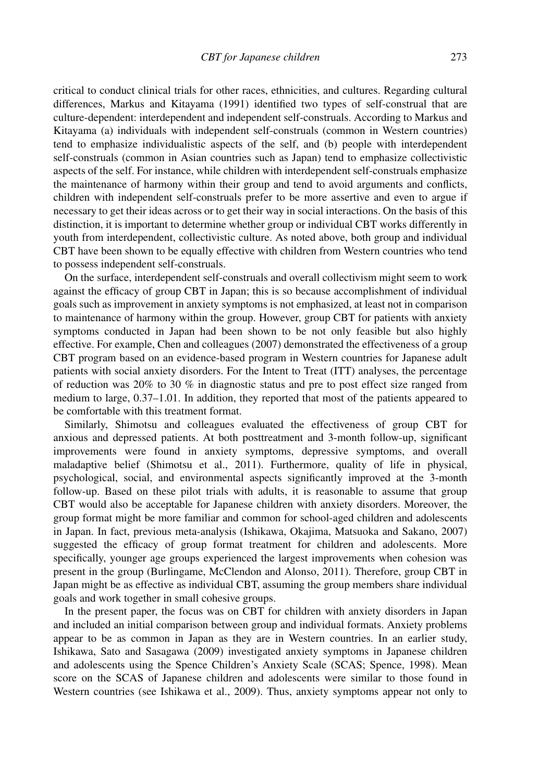critical to conduct clinical trials for other races, ethnicities, and cultures. Regarding cultural differences, Markus and Kitayama (1991) identified two types of self-construal that are culture-dependent: interdependent and independent self-construals. According to Markus and Kitayama (a) individuals with independent self-construals (common in Western countries) tend to emphasize individualistic aspects of the self, and (b) people with interdependent self-construals (common in Asian countries such as Japan) tend to emphasize collectivistic aspects of the self. For instance, while children with interdependent self-construals emphasize the maintenance of harmony within their group and tend to avoid arguments and conflicts, children with independent self-construals prefer to be more assertive and even to argue if necessary to get their ideas across or to get their way in social interactions. On the basis of this distinction, it is important to determine whether group or individual CBT works differently in youth from interdependent, collectivistic culture. As noted above, both group and individual CBT have been shown to be equally effective with children from Western countries who tend to possess independent self-construals.

On the surface, interdependent self-construals and overall collectivism might seem to work against the efficacy of group CBT in Japan; this is so because accomplishment of individual goals such as improvement in anxiety symptoms is not emphasized, at least not in comparison to maintenance of harmony within the group. However, group CBT for patients with anxiety symptoms conducted in Japan had been shown to be not only feasible but also highly effective. For example, Chen and colleagues (2007) demonstrated the effectiveness of a group CBT program based on an evidence-based program in Western countries for Japanese adult patients with social anxiety disorders. For the Intent to Treat (ITT) analyses, the percentage of reduction was 20% to 30% in diagnostic status and pre to post effect size ranged from medium to large, 0.37–1.01. In addition, they reported that most of the patients appeared to be comfortable with this treatment format.

Similarly, Shimotsu and colleagues evaluated the effectiveness of group CBT for anxious and depressed patients. At both posttreatment and 3-month follow-up, significant improvements were found in anxiety symptoms, depressive symptoms, and overall maladaptive belief (Shimotsu et al., 2011). Furthermore, quality of life in physical, psychological, social, and environmental aspects significantly improved at the 3-month follow-up. Based on these pilot trials with adults, it is reasonable to assume that group CBT would also be acceptable for Japanese children with anxiety disorders. Moreover, the group format might be more familiar and common for school-aged children and adolescents in Japan. In fact, previous meta-analysis (Ishikawa, Okajima, Matsuoka and Sakano, 2007) suggested the efficacy of group format treatment for children and adolescents. More specifically, younger age groups experienced the largest improvements when cohesion was present in the group (Burlingame, McClendon and Alonso, 2011). Therefore, group CBT in Japan might be as effective as individual CBT, assuming the group members share individual goals and work together in small cohesive groups.

In the present paper, the focus was on CBT for children with anxiety disorders in Japan and included an initial comparison between group and individual formats. Anxiety problems appear to be as common in Japan as they are in Western countries. In an earlier study, Ishikawa, Sato and Sasagawa (2009) investigated anxiety symptoms in Japanese children and adolescents using the Spence Children's Anxiety Scale (SCAS; Spence, 1998). Mean score on the SCAS of Japanese children and adolescents were similar to those found in Western countries (see Ishikawa et al., 2009). Thus, anxiety symptoms appear not only to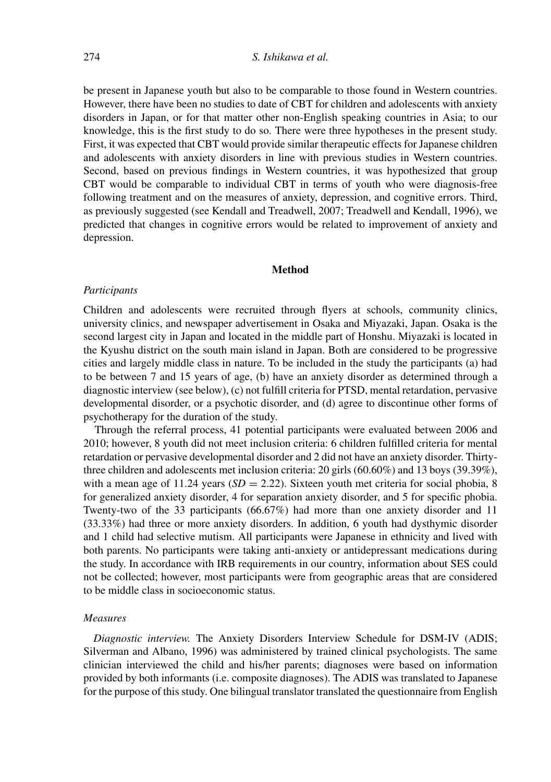be present in Japanese youth but also to be comparable to those found in Western countries. However, there have been no studies to date of CBT for children and adolescents with anxiety disorders in Japan, or for that matter other non-English speaking countries in Asia; to our knowledge, this is the first study to do so. There were three hypotheses in the present study. First, it was expected that CBT would provide similar therapeutic effects for Japanese children and adolescents with anxiety disorders in line with previous studies in Western countries. Second, based on previous findings in Western countries, it was hypothesized that group CBT would be comparable to individual CBT in terms of youth who were diagnosis-free following treatment and on the measures of anxiety, depression, and cognitive errors. Third, as previously suggested (see Kendall and Treadwell, 2007; Treadwell and Kendall, 1996), we predicted that changes in cognitive errors would be related to improvement of anxiety and depression.

### **Method**

# *Participants*

Children and adolescents were recruited through flyers at schools, community clinics, university clinics, and newspaper advertisement in Osaka and Miyazaki, Japan. Osaka is the second largest city in Japan and located in the middle part of Honshu. Miyazaki is located in the Kyushu district on the south main island in Japan. Both are considered to be progressive cities and largely middle class in nature. To be included in the study the participants (a) had to be between 7 and 15 years of age, (b) have an anxiety disorder as determined through a diagnostic interview (see below), (c) not fulfill criteria for PTSD, mental retardation, pervasive developmental disorder, or a psychotic disorder, and (d) agree to discontinue other forms of psychotherapy for the duration of the study.

Through the referral process, 41 potential participants were evaluated between 2006 and 2010; however, 8 youth did not meet inclusion criteria: 6 children fulfilled criteria for mental retardation or pervasive developmental disorder and 2 did not have an anxiety disorder. Thirtythree children and adolescents met inclusion criteria: 20 girls (60.60%) and 13 boys (39.39%), with a mean age of 11.24 years  $(SD = 2.22)$ . Sixteen youth met criteria for social phobia, 8 for generalized anxiety disorder, 4 for separation anxiety disorder, and 5 for specific phobia. Twenty-two of the 33 participants (66.67%) had more than one anxiety disorder and 11 (33.33%) had three or more anxiety disorders. In addition, 6 youth had dysthymic disorder and 1 child had selective mutism. All participants were Japanese in ethnicity and lived with both parents. No participants were taking anti-anxiety or antidepressant medications during the study. In accordance with IRB requirements in our country, information about SES could not be collected; however, most participants were from geographic areas that are considered to be middle class in socioeconomic status.

## *Measures*

*Diagnostic interview.* The Anxiety Disorders Interview Schedule for DSM-IV (ADIS; Silverman and Albano, 1996) was administered by trained clinical psychologists. The same clinician interviewed the child and his/her parents; diagnoses were based on information provided by both informants (i.e. composite diagnoses). The ADIS was translated to Japanese for the purpose of this study. One bilingual translator translated the questionnaire from English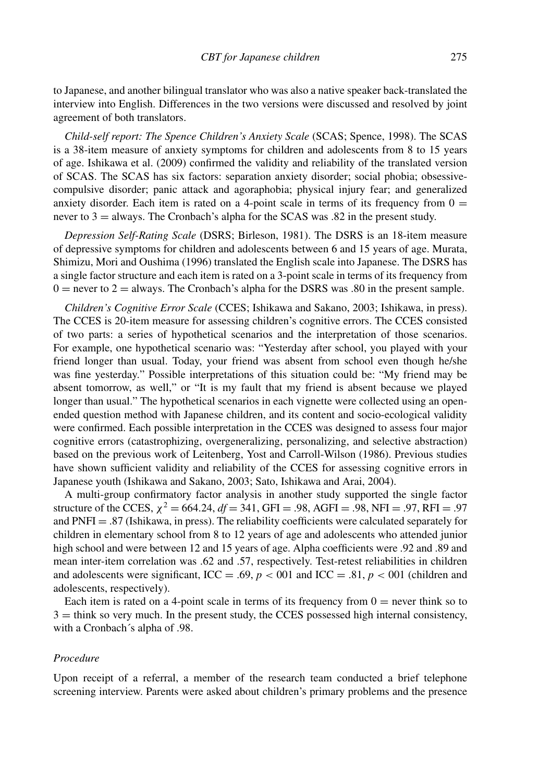to Japanese, and another bilingual translator who was also a native speaker back-translated the interview into English. Differences in the two versions were discussed and resolved by joint agreement of both translators.

*Child-self report: The Spence Children's Anxiety Scale* (SCAS; Spence, 1998). The SCAS is a 38-item measure of anxiety symptoms for children and adolescents from 8 to 15 years of age. Ishikawa et al. (2009) confirmed the validity and reliability of the translated version of SCAS. The SCAS has six factors: separation anxiety disorder; social phobia; obsessivecompulsive disorder; panic attack and agoraphobia; physical injury fear; and generalized anxiety disorder. Each item is rated on a 4-point scale in terms of its frequency from  $0 =$ never to  $3 =$  always. The Cronbach's alpha for the SCAS was .82 in the present study.

*Depression Self-Rating Scale* (DSRS; Birleson, 1981). The DSRS is an 18-item measure of depressive symptoms for children and adolescents between 6 and 15 years of age. Murata, Shimizu, Mori and Oushima (1996) translated the English scale into Japanese. The DSRS has a single factor structure and each item is rated on a 3-point scale in terms of its frequency from  $0 =$  never to  $2 =$  always. The Cronbach's alpha for the DSRS was .80 in the present sample.

*Children's Cognitive Error Scale* (CCES; Ishikawa and Sakano, 2003; Ishikawa, in press). The CCES is 20-item measure for assessing children's cognitive errors. The CCES consisted of two parts: a series of hypothetical scenarios and the interpretation of those scenarios. For example, one hypothetical scenario was: "Yesterday after school, you played with your friend longer than usual. Today, your friend was absent from school even though he/she was fine yesterday." Possible interpretations of this situation could be: "My friend may be absent tomorrow, as well," or "It is my fault that my friend is absent because we played longer than usual." The hypothetical scenarios in each vignette were collected using an openended question method with Japanese children, and its content and socio-ecological validity were confirmed. Each possible interpretation in the CCES was designed to assess four major cognitive errors (catastrophizing, overgeneralizing, personalizing, and selective abstraction) based on the previous work of Leitenberg, Yost and Carroll-Wilson (1986). Previous studies have shown sufficient validity and reliability of the CCES for assessing cognitive errors in Japanese youth (Ishikawa and Sakano, 2003; Sato, Ishikawa and Arai, 2004).

A multi-group confirmatory factor analysis in another study supported the single factor structure of the CCES,  $\chi^2 = 664.24$ ,  $df = 341$ , GFI = .98, AGFI = .98, NFI = .97, RFI = .97 and PNFI = .87 (Ishikawa, in press). The reliability coefficients were calculated separately for children in elementary school from 8 to 12 years of age and adolescents who attended junior high school and were between 12 and 15 years of age. Alpha coefficients were .92 and .89 and mean inter-item correlation was .62 and .57, respectively. Test-retest reliabilities in children and adolescents were significant, ICC = .69,  $p < 001$  and ICC = .81,  $p < 001$  (children and adolescents, respectively).

Each item is rated on a 4-point scale in terms of its frequency from  $0 =$  never think so to  $3 =$  think so very much. In the present study, the CCES possessed high internal consistency, with a Cronbach´s alpha of .98.

# *Procedure*

Upon receipt of a referral, a member of the research team conducted a brief telephone screening interview. Parents were asked about children's primary problems and the presence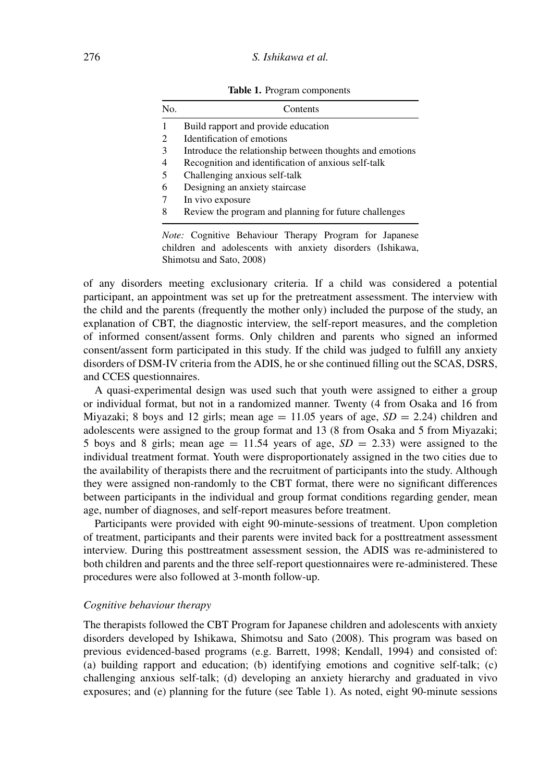**Table 1.** Program components

| No.            | Contents                                                 |
|----------------|----------------------------------------------------------|
| 1              | Build rapport and provide education                      |
| 2              | Identification of emotions                               |
| 3              | Introduce the relationship between thoughts and emotions |
| $\overline{4}$ | Recognition and identification of anxious self-talk      |
| 5              | Challenging anxious self-talk                            |
| 6              | Designing an anxiety staircase                           |
| 7              | In vivo exposure                                         |
| 8              | Review the program and planning for future challenges    |

*Note:* Cognitive Behaviour Therapy Program for Japanese children and adolescents with anxiety disorders (Ishikawa, Shimotsu and Sato, 2008)

of any disorders meeting exclusionary criteria. If a child was considered a potential participant, an appointment was set up for the pretreatment assessment. The interview with the child and the parents (frequently the mother only) included the purpose of the study, an explanation of CBT, the diagnostic interview, the self-report measures, and the completion of informed consent/assent forms. Only children and parents who signed an informed consent/assent form participated in this study. If the child was judged to fulfill any anxiety disorders of DSM-IV criteria from the ADIS, he or she continued filling out the SCAS, DSRS, and CCES questionnaires.

A quasi-experimental design was used such that youth were assigned to either a group or individual format, but not in a randomized manner. Twenty (4 from Osaka and 16 from Miyazaki; 8 boys and 12 girls; mean age  $= 11.05$  years of age,  $SD = 2.24$ ) children and adolescents were assigned to the group format and 13 (8 from Osaka and 5 from Miyazaki; 5 boys and 8 girls; mean age  $= 11.54$  years of age,  $SD = 2.33$ ) were assigned to the individual treatment format. Youth were disproportionately assigned in the two cities due to the availability of therapists there and the recruitment of participants into the study. Although they were assigned non-randomly to the CBT format, there were no significant differences between participants in the individual and group format conditions regarding gender, mean age, number of diagnoses, and self-report measures before treatment.

Participants were provided with eight 90-minute-sessions of treatment. Upon completion of treatment, participants and their parents were invited back for a posttreatment assessment interview. During this posttreatment assessment session, the ADIS was re-administered to both children and parents and the three self-report questionnaires were re-administered. These procedures were also followed at 3-month follow-up.

# *Cognitive behaviour therapy*

The therapists followed the CBT Program for Japanese children and adolescents with anxiety disorders developed by Ishikawa, Shimotsu and Sato (2008). This program was based on previous evidenced-based programs (e.g. Barrett, 1998; Kendall, 1994) and consisted of: (a) building rapport and education; (b) identifying emotions and cognitive self-talk; (c) challenging anxious self-talk; (d) developing an anxiety hierarchy and graduated in vivo exposures; and (e) planning for the future (see Table 1). As noted, eight 90-minute sessions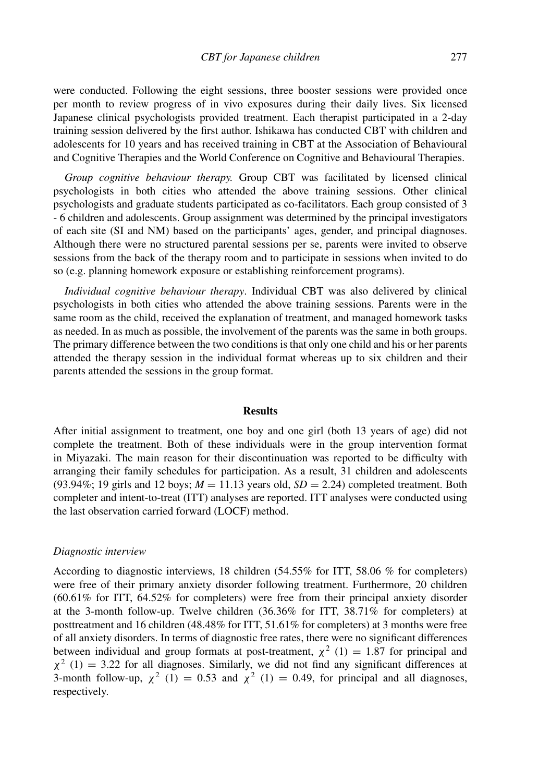were conducted. Following the eight sessions, three booster sessions were provided once per month to review progress of in vivo exposures during their daily lives. Six licensed Japanese clinical psychologists provided treatment. Each therapist participated in a 2-day training session delivered by the first author. Ishikawa has conducted CBT with children and adolescents for 10 years and has received training in CBT at the Association of Behavioural and Cognitive Therapies and the World Conference on Cognitive and Behavioural Therapies.

*Group cognitive behaviour therapy.* Group CBT was facilitated by licensed clinical psychologists in both cities who attended the above training sessions. Other clinical psychologists and graduate students participated as co-facilitators. Each group consisted of 3 - 6 children and adolescents. Group assignment was determined by the principal investigators of each site (SI and NM) based on the participants' ages, gender, and principal diagnoses. Although there were no structured parental sessions per se, parents were invited to observe sessions from the back of the therapy room and to participate in sessions when invited to do so (e.g. planning homework exposure or establishing reinforcement programs).

*Individual cognitive behaviour therapy*. Individual CBT was also delivered by clinical psychologists in both cities who attended the above training sessions. Parents were in the same room as the child, received the explanation of treatment, and managed homework tasks as needed. In as much as possible, the involvement of the parents was the same in both groups. The primary difference between the two conditions is that only one child and his or her parents attended the therapy session in the individual format whereas up to six children and their parents attended the sessions in the group format.

#### **Results**

After initial assignment to treatment, one boy and one girl (both 13 years of age) did not complete the treatment. Both of these individuals were in the group intervention format in Miyazaki. The main reason for their discontinuation was reported to be difficulty with arranging their family schedules for participation. As a result, 31 children and adolescents  $(93.94\%; 19 \text{ girls and } 12 \text{ boys}; M = 11.13 \text{ years old}, SD = 2.24)$  completed treatment. Both completer and intent-to-treat (ITT) analyses are reported. ITT analyses were conducted using the last observation carried forward (LOCF) method.

#### *Diagnostic interview*

According to diagnostic interviews, 18 children (54.55% for ITT, 58.06 % for completers) were free of their primary anxiety disorder following treatment. Furthermore, 20 children (60.61% for ITT, 64.52% for completers) were free from their principal anxiety disorder at the 3-month follow-up. Twelve children (36.36% for ITT, 38.71% for completers) at posttreatment and 16 children (48.48% for ITT, 51.61% for completers) at 3 months were free of all anxiety disorders. In terms of diagnostic free rates, there were no significant differences between individual and group formats at post-treatment,  $\chi^2$  (1) = 1.87 for principal and  $\chi^2$  (1) = 3.22 for all diagnoses. Similarly, we did not find any significant differences at 3-month follow-up,  $\chi^2$  (1) = 0.53 and  $\chi^2$  (1) = 0.49, for principal and all diagnoses, respectively.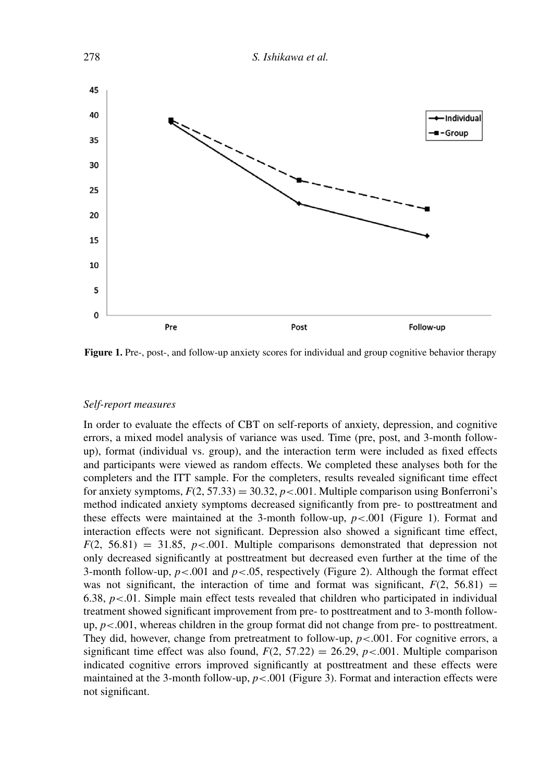

**Figure 1.** Pre-, post-, and follow-up anxiety scores for individual and group cognitive behavior therapy

# *Self-report measures*

In order to evaluate the effects of CBT on self-reports of anxiety, depression, and cognitive errors, a mixed model analysis of variance was used. Time (pre, post, and 3-month followup), format (individual vs. group), and the interaction term were included as fixed effects and participants were viewed as random effects. We completed these analyses both for the completers and the ITT sample. For the completers, results revealed significant time effect for anxiety symptoms,  $F(2, 57.33) = 30.32$ ,  $p < .001$ . Multiple comparison using Bonferroni's method indicated anxiety symptoms decreased significantly from pre- to posttreatment and these effects were maintained at the 3-month follow-up, *p<*.001 (Figure 1). Format and interaction effects were not significant. Depression also showed a significant time effect,  $F(2, 56.81) = 31.85, p < .001$ . Multiple comparisons demonstrated that depression not only decreased significantly at posttreatment but decreased even further at the time of the 3-month follow-up, *p<*.001 and *p<*.05, respectively (Figure 2). Although the format effect was not significant, the interaction of time and format was significant,  $F(2, 56.81) =$ 6.38, *p<*.01. Simple main effect tests revealed that children who participated in individual treatment showed significant improvement from pre- to posttreatment and to 3-month followup,  $p < 0.001$ , whereas children in the group format did not change from pre- to posttreatment. They did, however, change from pretreatment to follow-up, *p<*.001. For cognitive errors, a significant time effect was also found,  $F(2, 57.22) = 26.29$ ,  $p < .001$ . Multiple comparison indicated cognitive errors improved significantly at posttreatment and these effects were maintained at the 3-month follow-up, *p<*.001 (Figure 3). Format and interaction effects were not significant.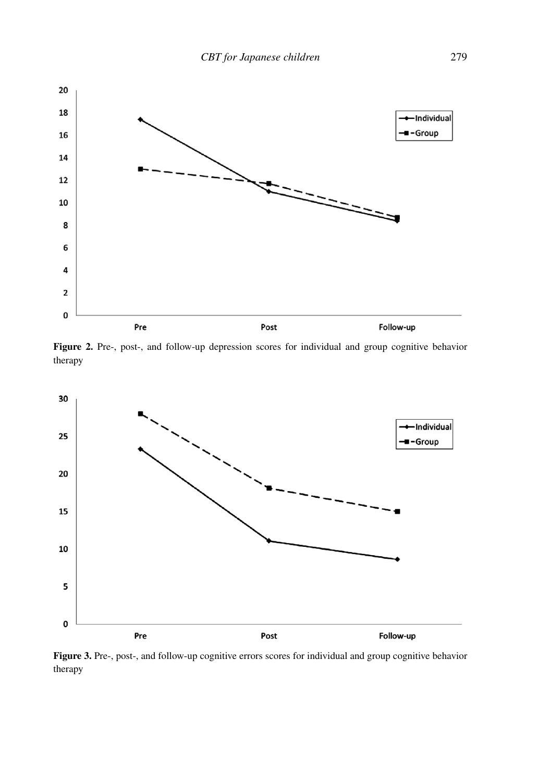

Figure 2. Pre-, post-, and follow-up depression scores for individual and group cognitive behavior therapy



Figure 3. Pre-, post-, and follow-up cognitive errors scores for individual and group cognitive behavior therapy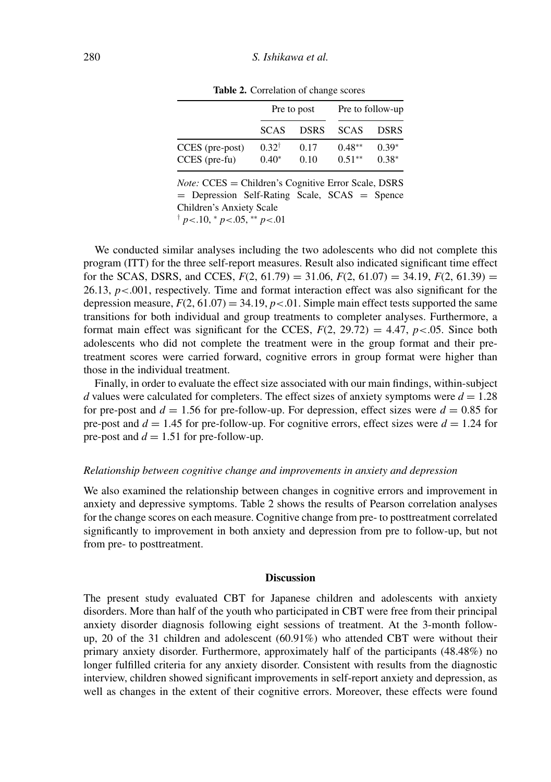|                                    | Pre to post                 |              | Pre to follow-up     |                    |
|------------------------------------|-----------------------------|--------------|----------------------|--------------------|
|                                    | <b>SCAS</b>                 | <b>DSRS</b>  | <b>SCAS</b>          | <b>DSRS</b>        |
| CCES (pre-post)<br>$CCES$ (pre-fu) | $0.32^{\dagger}$<br>$0.40*$ | 0.17<br>0.10 | $0.48**$<br>$0.51**$ | $0.39*$<br>$0.38*$ |

**Table 2.** Correlation of change scores

*Note:* CCES = Children's Cognitive Error Scale, DSRS  $=$  Depression Self-Rating Scale,  $SCAS =$  Spence Children's Anxiety Scale

 $\uparrow$  *p*<.10,  $\uparrow$  *p*<.05, \*\* *p*<.01

We conducted similar analyses including the two adolescents who did not complete this program (ITT) for the three self-report measures. Result also indicated significant time effect for the SCAS, DSRS, and CCES,  $F(2, 61.79) = 31.06$ ,  $F(2, 61.07) = 34.19$ ,  $F(2, 61.39) =$ 26.13,  $p < 0.01$ , respectively. Time and format interaction effect was also significant for the depression measure,  $F(2, 61.07) = 34.19$ ,  $p < .01$ . Simple main effect tests supported the same transitions for both individual and group treatments to completer analyses. Furthermore, a format main effect was significant for the CCES,  $F(2, 29.72) = 4.47$ ,  $p < 0.05$ . Since both adolescents who did not complete the treatment were in the group format and their pretreatment scores were carried forward, cognitive errors in group format were higher than those in the individual treatment.

Finally, in order to evaluate the effect size associated with our main findings, within-subject *d* values were calculated for completers. The effect sizes of anxiety symptoms were  $d = 1.28$ for pre-post and  $d = 1.56$  for pre-follow-up. For depression, effect sizes were  $d = 0.85$  for pre-post and  $d = 1.45$  for pre-follow-up. For cognitive errors, effect sizes were  $d = 1.24$  for pre-post and  $d = 1.51$  for pre-follow-up.

#### *Relationship between cognitive change and improvements in anxiety and depression*

We also examined the relationship between changes in cognitive errors and improvement in anxiety and depressive symptoms. Table 2 shows the results of Pearson correlation analyses for the change scores on each measure. Cognitive change from pre- to posttreatment correlated significantly to improvement in both anxiety and depression from pre to follow-up, but not from pre- to posttreatment.

## **Discussion**

The present study evaluated CBT for Japanese children and adolescents with anxiety disorders. More than half of the youth who participated in CBT were free from their principal anxiety disorder diagnosis following eight sessions of treatment. At the 3-month followup, 20 of the 31 children and adolescent (60.91%) who attended CBT were without their primary anxiety disorder. Furthermore, approximately half of the participants (48.48%) no longer fulfilled criteria for any anxiety disorder. Consistent with results from the diagnostic interview, children showed significant improvements in self-report anxiety and depression, as well as changes in the extent of their cognitive errors. Moreover, these effects were found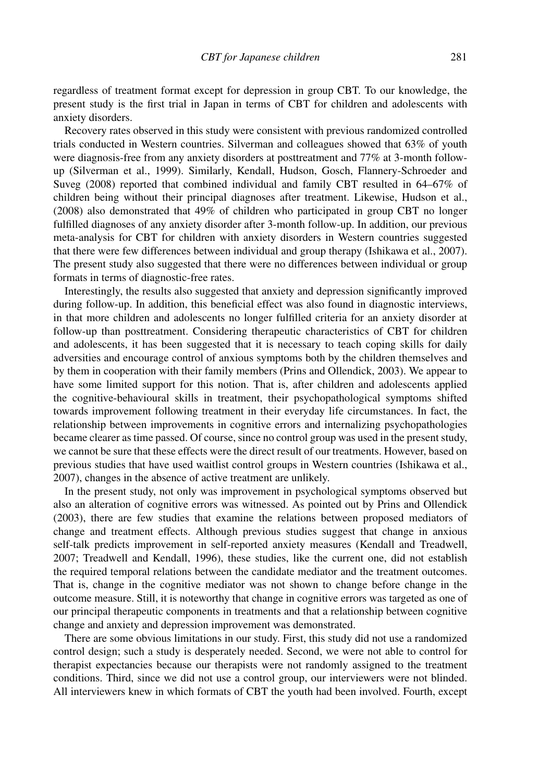regardless of treatment format except for depression in group CBT. To our knowledge, the present study is the first trial in Japan in terms of CBT for children and adolescents with anxiety disorders.

Recovery rates observed in this study were consistent with previous randomized controlled trials conducted in Western countries. Silverman and colleagues showed that 63% of youth were diagnosis-free from any anxiety disorders at posttreatment and 77% at 3-month followup (Silverman et al., 1999). Similarly, Kendall, Hudson, Gosch, Flannery-Schroeder and Suveg (2008) reported that combined individual and family CBT resulted in 64–67% of children being without their principal diagnoses after treatment. Likewise, Hudson et al., (2008) also demonstrated that 49% of children who participated in group CBT no longer fulfilled diagnoses of any anxiety disorder after 3-month follow-up. In addition, our previous meta-analysis for CBT for children with anxiety disorders in Western countries suggested that there were few differences between individual and group therapy (Ishikawa et al., 2007). The present study also suggested that there were no differences between individual or group formats in terms of diagnostic-free rates.

Interestingly, the results also suggested that anxiety and depression significantly improved during follow-up. In addition, this beneficial effect was also found in diagnostic interviews, in that more children and adolescents no longer fulfilled criteria for an anxiety disorder at follow-up than posttreatment. Considering therapeutic characteristics of CBT for children and adolescents, it has been suggested that it is necessary to teach coping skills for daily adversities and encourage control of anxious symptoms both by the children themselves and by them in cooperation with their family members (Prins and Ollendick, 2003). We appear to have some limited support for this notion. That is, after children and adolescents applied the cognitive-behavioural skills in treatment, their psychopathological symptoms shifted towards improvement following treatment in their everyday life circumstances. In fact, the relationship between improvements in cognitive errors and internalizing psychopathologies became clearer as time passed. Of course, since no control group was used in the present study, we cannot be sure that these effects were the direct result of our treatments. However, based on previous studies that have used waitlist control groups in Western countries (Ishikawa et al., 2007), changes in the absence of active treatment are unlikely.

In the present study, not only was improvement in psychological symptoms observed but also an alteration of cognitive errors was witnessed. As pointed out by Prins and Ollendick (2003), there are few studies that examine the relations between proposed mediators of change and treatment effects. Although previous studies suggest that change in anxious self-talk predicts improvement in self-reported anxiety measures (Kendall and Treadwell, 2007; Treadwell and Kendall, 1996), these studies, like the current one, did not establish the required temporal relations between the candidate mediator and the treatment outcomes. That is, change in the cognitive mediator was not shown to change before change in the outcome measure. Still, it is noteworthy that change in cognitive errors was targeted as one of our principal therapeutic components in treatments and that a relationship between cognitive change and anxiety and depression improvement was demonstrated.

There are some obvious limitations in our study. First, this study did not use a randomized control design; such a study is desperately needed. Second, we were not able to control for therapist expectancies because our therapists were not randomly assigned to the treatment conditions. Third, since we did not use a control group, our interviewers were not blinded. All interviewers knew in which formats of CBT the youth had been involved. Fourth, except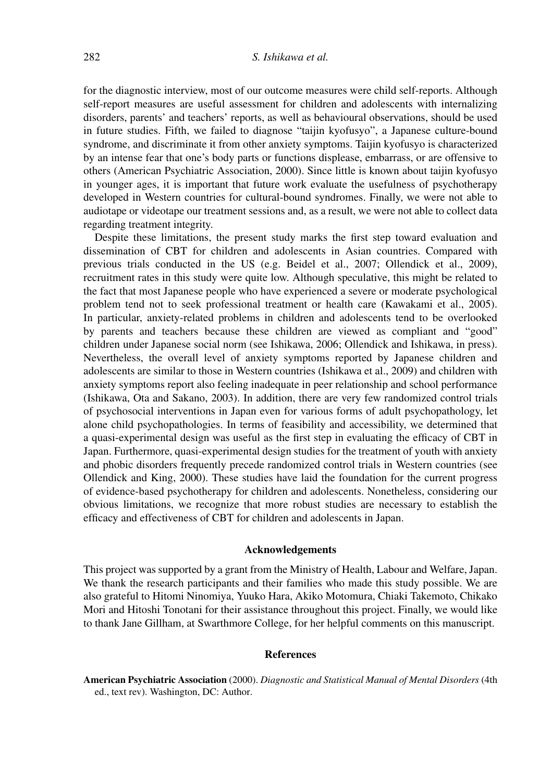for the diagnostic interview, most of our outcome measures were child self-reports. Although self-report measures are useful assessment for children and adolescents with internalizing disorders, parents' and teachers' reports, as well as behavioural observations, should be used in future studies. Fifth, we failed to diagnose "taijin kyofusyo", a Japanese culture-bound syndrome, and discriminate it from other anxiety symptoms. Taijin kyofusyo is characterized by an intense fear that one's body parts or functions displease, embarrass, or are offensive to others (American Psychiatric Association, 2000). Since little is known about taijin kyofusyo in younger ages, it is important that future work evaluate the usefulness of psychotherapy developed in Western countries for cultural-bound syndromes. Finally, we were not able to audiotape or videotape our treatment sessions and, as a result, we were not able to collect data regarding treatment integrity.

Despite these limitations, the present study marks the first step toward evaluation and dissemination of CBT for children and adolescents in Asian countries. Compared with previous trials conducted in the US (e.g. Beidel et al., 2007; Ollendick et al., 2009), recruitment rates in this study were quite low. Although speculative, this might be related to the fact that most Japanese people who have experienced a severe or moderate psychological problem tend not to seek professional treatment or health care (Kawakami et al., 2005). In particular, anxiety-related problems in children and adolescents tend to be overlooked by parents and teachers because these children are viewed as compliant and "good" children under Japanese social norm (see Ishikawa, 2006; Ollendick and Ishikawa, in press). Nevertheless, the overall level of anxiety symptoms reported by Japanese children and adolescents are similar to those in Western countries (Ishikawa et al., 2009) and children with anxiety symptoms report also feeling inadequate in peer relationship and school performance (Ishikawa, Ota and Sakano, 2003). In addition, there are very few randomized control trials of psychosocial interventions in Japan even for various forms of adult psychopathology, let alone child psychopathologies. In terms of feasibility and accessibility, we determined that a quasi-experimental design was useful as the first step in evaluating the efficacy of CBT in Japan. Furthermore, quasi-experimental design studies for the treatment of youth with anxiety and phobic disorders frequently precede randomized control trials in Western countries (see Ollendick and King, 2000). These studies have laid the foundation for the current progress of evidence-based psychotherapy for children and adolescents. Nonetheless, considering our obvious limitations, we recognize that more robust studies are necessary to establish the efficacy and effectiveness of CBT for children and adolescents in Japan.

#### **Acknowledgements**

This project was supported by a grant from the Ministry of Health, Labour and Welfare, Japan. We thank the research participants and their families who made this study possible. We are also grateful to Hitomi Ninomiya, Yuuko Hara, Akiko Motomura, Chiaki Takemoto, Chikako Mori and Hitoshi Tonotani for their assistance throughout this project. Finally, we would like to thank Jane Gillham, at Swarthmore College, for her helpful comments on this manuscript.

# **References**

**American Psychiatric Association** (2000). *Diagnostic and Statistical Manual of Mental Disorders* (4th ed., text rev). Washington, DC: Author.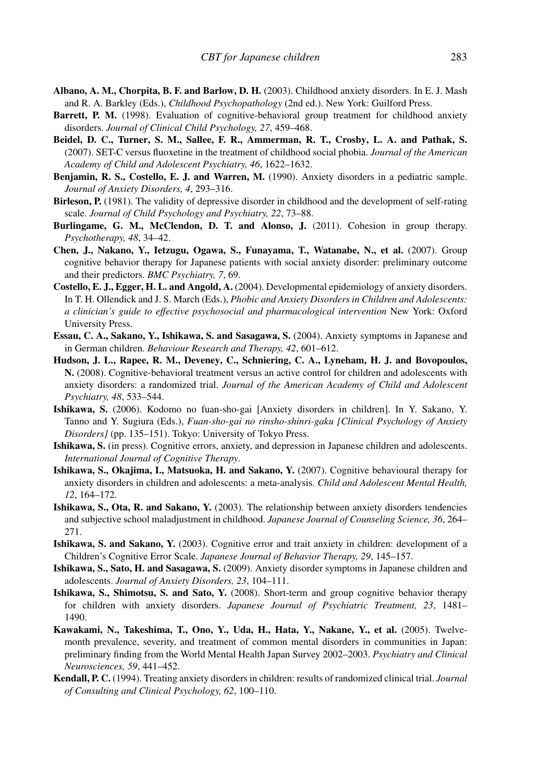- **Albano, A. M., Chorpita, B. F. and Barlow, D. H.** (2003). Childhood anxiety disorders. In E. J. Mash and R. A. Barkley (Eds.), *Childhood Psychopathology* (2nd ed.). New York: Guilford Press.
- **Barrett, P. M.** (1998). Evaluation of cognitive-behavioral group treatment for childhood anxiety disorders. *Journal of Clinical Child Psychology, 27*, 459–468.
- **Beidel, D. C., Turner, S. M., Sallee, F. R., Ammerman, R. T., Crosby, L. A. and Pathak, S.** (2007). SET-C versus fluoxetine in the treatment of childhood social phobia. *Journal of the American Academy of Child and Adolescent Psychiatry, 46*, 1622–1632.
- **Benjamin, R. S., Costello, E. J. and Warren, M.** (1990). Anxiety disorders in a pediatric sample. *Journal of Anxiety Disorders, 4*, 293–316.
- **Birleson, P.** (1981). The validity of depressive disorder in childhood and the development of self-rating scale. *Journal of Child Psychology and Psychiatry, 22*, 73–88.
- **Burlingame, G. M., McClendon, D. T. and Alonso, J.** (2011). Cohesion in group therapy. *Psychotherapy, 48*, 34–42.
- **Chen, J., Nakano, Y., Ietzugu, Ogawa, S., Funayama, T., Watanabe, N., et al.** (2007). Group cognitive behavior therapy for Japanese patients with social anxiety disorder: preliminary outcome and their predictors. *BMC Psychiatry, 7*, 69.
- **Costello, E. J., Egger, H. L. and Angold, A.** (2004). Developmental epidemiology of anxiety disorders. In T. H. Ollendick and J. S. March (Eds.), *Phobic and Anxiety Disorders in Children and Adolescents: a clinician's guide to effective psychosocial and pharmacological intervention* New York: Oxford University Press.
- **Essau, C. A., Sakano, Y., Ishikawa, S. and Sasagawa, S.** (2004). Anxiety symptoms in Japanese and in German children. *Behaviour Research and Therapy, 42*, 601–612.
- **Hudson, J. L., Rapee, R. M., Deveney, C., Schniering, C. A., Lyneham, H. J. and Bovopoulos, N.** (2008). Cognitive-behavioral treatment versus an active control for children and adolescents with anxiety disorders: a randomized trial. *Journal of the American Academy of Child and Adolescent Psychiatry, 48*, 533–544.
- **Ishikawa, S.** (2006). Kodomo no fuan-sho-gai [Anxiety disorders in children]. In Y. Sakano, Y. Tanno and Y. Sugiura (Eds.), *Fuan-sho-gai no rinsho-shinri-gaku [Clinical Psychology of Anxiety Disorders]* (pp. 135–151). Tokyo: University of Tokyo Press.
- **Ishikawa, S.** (in press). Cognitive errors, anxiety, and depression in Japanese children and adolescents. *International Journal of Cognitive Therapy*.
- **Ishikawa, S., Okajima, I., Matsuoka, H. and Sakano, Y.** (2007). Cognitive behavioural therapy for anxiety disorders in children and adolescents: a meta-analysis. *Child and Adolescent Mental Health, 12*, 164–172.
- **Ishikawa, S., Ota, R. and Sakano, Y.** (2003). The relationship between anxiety disorders tendencies and subjective school maladjustment in childhood. *Japanese Journal of Counseling Science, 36*, 264– 271.
- **Ishikawa, S. and Sakano, Y.** (2003). Cognitive error and trait anxiety in children: development of a Children's Cognitive Error Scale. *Japanese Journal of Behavior Therapy, 29*, 145–157.
- **Ishikawa, S., Sato, H. and Sasagawa, S.** (2009). Anxiety disorder symptoms in Japanese children and adolescents. *Journal of Anxiety Disorders, 23*, 104–111.
- **Ishikawa, S., Shimotsu, S. and Sato, Y.** (2008). Short-term and group cognitive behavior therapy for children with anxiety disorders. *Japanese Journal of Psychiatric Treatment, 23*, 1481– 1490.
- **Kawakami, N., Takeshima, T., Ono, Y., Uda, H., Hata, Y., Nakane, Y., et al.** (2005). Twelvemonth prevalence, severity, and treatment of common mental disorders in communities in Japan: preliminary finding from the World Mental Health Japan Survey 2002–2003. *Psychiatry and Clinical Neurosciences, 59*, 441–452.
- **Kendall, P. C.** (1994). Treating anxiety disorders in children: results of randomized clinical trial. *Journal of Consulting and Clinical Psychology, 62*, 100–110.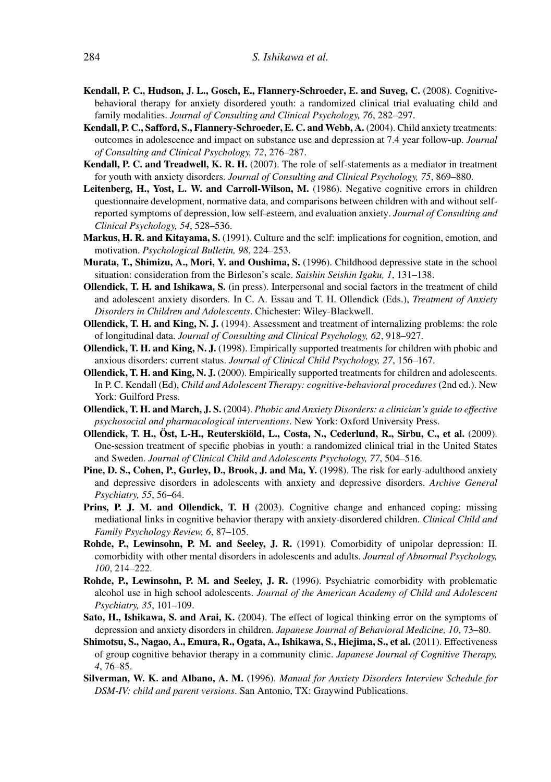- **Kendall, P. C., Hudson, J. L., Gosch, E., Flannery-Schroeder, E. and Suveg, C.** (2008). Cognitivebehavioral therapy for anxiety disordered youth: a randomized clinical trial evaluating child and family modalities. *Journal of Consulting and Clinical Psychology, 76*, 282–297.
- **Kendall, P. C., Safford, S., Flannery-Schroeder, E. C. and Webb, A.** (2004). Child anxiety treatments: outcomes in adolescence and impact on substance use and depression at 7.4 year follow-up. *Journal of Consulting and Clinical Psychology, 72*, 276–287.
- **Kendall, P. C. and Treadwell, K. R. H.** (2007). The role of self-statements as a mediator in treatment for youth with anxiety disorders. *Journal of Consulting and Clinical Psychology, 75*, 869–880.
- Leitenberg, H., Yost, L. W. and Carroll-Wilson, M. (1986). Negative cognitive errors in children questionnaire development, normative data, and comparisons between children with and without selfreported symptoms of depression, low self-esteem, and evaluation anxiety. *Journal of Consulting and Clinical Psychology, 54*, 528–536.
- **Markus, H. R. and Kitayama, S.** (1991). Culture and the self: implications for cognition, emotion, and motivation. *Psychological Bulletin, 98*, 224–253.
- **Murata, T., Shimizu, A., Mori, Y. and Oushima, S.** (1996). Childhood depressive state in the school situation: consideration from the Birleson's scale. *Saishin Seishin Igaku, 1*, 131–138.
- **Ollendick, T. H. and Ishikawa, S.** (in press). Interpersonal and social factors in the treatment of child and adolescent anxiety disorders. In C. A. Essau and T. H. Ollendick (Eds.), *Treatment of Anxiety Disorders in Children and Adolescents*. Chichester: Wiley-Blackwell.
- **Ollendick, T. H. and King, N. J.** (1994). Assessment and treatment of internalizing problems: the role of longitudinal data. *Journal of Consulting and Clinical Psychology, 62*, 918–927.
- **Ollendick, T. H. and King, N. J.** (1998). Empirically supported treatments for children with phobic and anxious disorders: current status. *Journal of Clinical Child Psychology, 27*, 156–167.
- **Ollendick, T. H. and King, N. J.** (2000). Empirically supported treatments for children and adolescents. In P. C. Kendall (Ed), *Child and Adolescent Therapy: cognitive-behavioral procedures* (2nd ed.). New York: Guilford Press.
- **Ollendick, T. H. and March, J. S.** (2004). *Phobic and Anxiety Disorders: a clinician's guide to effective psychosocial and pharmacological interventions*. New York: Oxford University Press.
- **Ollendick, T. H., Öst, L-H., Reuterskiöld, L., Costa, N., Cederlund, R., Sirbu, C., et al.** (2009). One-session treatment of specific phobias in youth: a randomized clinical trial in the United States and Sweden. *Journal of Clinical Child and Adolescents Psychology, 77*, 504–516.
- **Pine, D. S., Cohen, P., Gurley, D., Brook, J. and Ma, Y.** (1998). The risk for early-adulthood anxiety and depressive disorders in adolescents with anxiety and depressive disorders. *Archive General Psychiatry, 55*, 56–64.
- **Prins, P. J. M. and Ollendick, T. H** (2003). Cognitive change and enhanced coping: missing mediational links in cognitive behavior therapy with anxiety-disordered children. *Clinical Child and Family Psychology Review, 6*, 87–105.
- **Rohde, P., Lewinsohn, P. M. and Seeley, J. R.** (1991). Comorbidity of unipolar depression: II. comorbidity with other mental disorders in adolescents and adults. *Journal of Abnormal Psychology, 100*, 214–222.
- **Rohde, P., Lewinsohn, P. M. and Seeley, J. R.** (1996). Psychiatric comorbidity with problematic alcohol use in high school adolescents. *Journal of the American Academy of Child and Adolescent Psychiatry, 35*, 101–109.
- **Sato, H., Ishikawa, S. and Arai, K.** (2004). The effect of logical thinking error on the symptoms of depression and anxiety disorders in children. *Japanese Journal of Behavioral Medicine, 10*, 73–80.
- **Shimotsu, S., Nagao, A., Emura, R., Ogata, A., Ishikawa, S., Hiejima, S., et al.** (2011). Effectiveness of group cognitive behavior therapy in a community clinic. *Japanese Journal of Cognitive Therapy, 4*, 76–85.
- **Silverman, W. K. and Albano, A. M.** (1996). *Manual for Anxiety Disorders Interview Schedule for DSM-IV: child and parent versions*. San Antonio, TX: Graywind Publications.